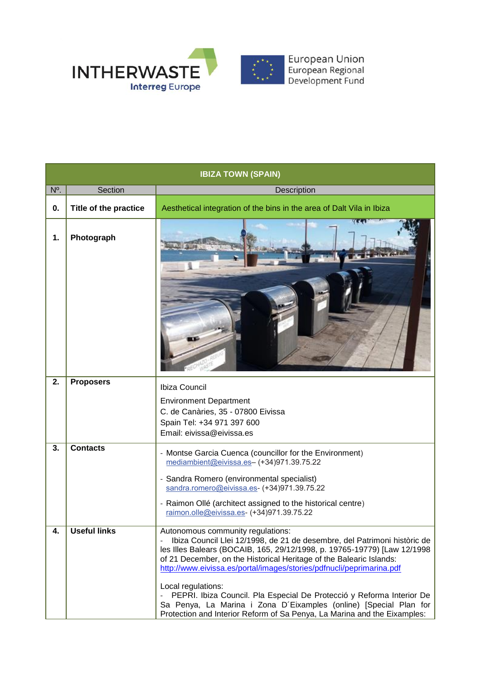

| <b>IBIZA TOWN (SPAIN)</b> |                       |                                                                                                                                                                                                                                                                                                                                                                                                                                                                                                                                                                                          |  |  |  |  |  |
|---------------------------|-----------------------|------------------------------------------------------------------------------------------------------------------------------------------------------------------------------------------------------------------------------------------------------------------------------------------------------------------------------------------------------------------------------------------------------------------------------------------------------------------------------------------------------------------------------------------------------------------------------------------|--|--|--|--|--|
| N°.                       | Section               | <b>Description</b>                                                                                                                                                                                                                                                                                                                                                                                                                                                                                                                                                                       |  |  |  |  |  |
| 0.                        | Title of the practice | Aesthetical integration of the bins in the area of Dalt Vila in Ibiza                                                                                                                                                                                                                                                                                                                                                                                                                                                                                                                    |  |  |  |  |  |
| 1.                        | Photograph            |                                                                                                                                                                                                                                                                                                                                                                                                                                                                                                                                                                                          |  |  |  |  |  |
| 2.                        | <b>Proposers</b>      | Ibiza Council<br><b>Environment Department</b><br>C. de Canàries, 35 - 07800 Eivissa<br>Spain Tel: +34 971 397 600<br>Email: eivissa@eivissa.es                                                                                                                                                                                                                                                                                                                                                                                                                                          |  |  |  |  |  |
| 3.                        | <b>Contacts</b>       | - Montse Garcia Cuenca (councillor for the Environment)<br>mediambient@eivissa.es- (+34)971.39.75.22<br>- Sandra Romero (environmental specialist)<br>sandra.romero@eivissa.es- (+34)971.39.75.22<br>- Raimon Ollé (architect assigned to the historical centre)<br>raimon.olle@eivissa.es- (+34)971.39.75.22                                                                                                                                                                                                                                                                            |  |  |  |  |  |
| 4.                        | Useful links          | Autonomous community regulations:<br>Ibiza Council Llei 12/1998, de 21 de desembre, del Patrimoni històric de<br>les Illes Balears (BOCAIB, 165, 29/12/1998, p. 19765-19779) [Law 12/1998<br>of 21 December, on the Historical Heritage of the Balearic Islands:<br>http://www.eivissa.es/portal/images/stories/pdfnucli/peprimarina.pdf<br>Local regulations:<br>PEPRI. Ibiza Council. Pla Especial De Protecció y Reforma Interior De<br>Sa Penya, La Marina i Zona D'Eixamples (online) [Special Plan for<br>Protection and Interior Reform of Sa Penya, La Marina and the Eixamples: |  |  |  |  |  |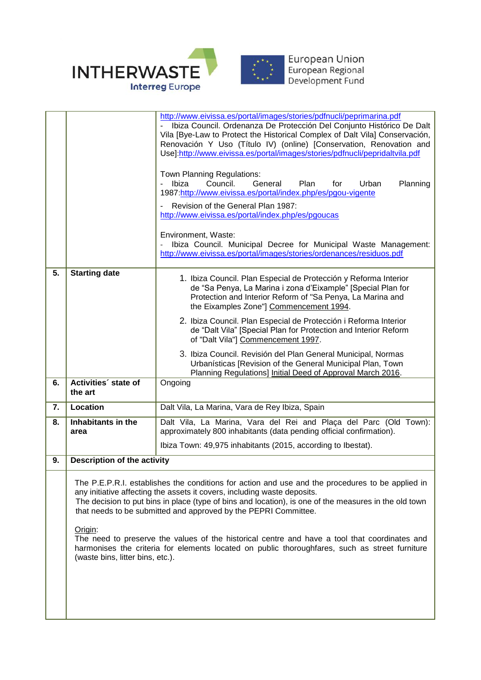

|    |                                                                                                                                                                                                                                                                                                                                                                     | http://www.eivissa.es/portal/images/stories/pdfnucli/peprimarina.pdf<br>Ibiza Council. Ordenanza De Protección Del Conjunto Histórico De Dalt<br>Vila [Bye-Law to Protect the Historical Complex of Dalt Vila] Conservación,<br>Renovación Y Uso (Título IV) (online) [Conservation, Renovation and<br>Use]:http://www.eivissa.es/portal/images/stories/pdfnucli/pepridaltvila.pdf<br>Town Planning Regulations:<br>Ibiza<br>Council.<br>General<br>Plan<br>Urban<br>Planning<br>for<br>1987:http://www.eivissa.es/portal/index.php/es/pgou-vigente<br>Revision of the General Plan 1987:<br>http://www.eivissa.es/portal/index.php/es/pgoucas<br>Environment, Waste:<br>Ibiza Council. Municipal Decree for Municipal Waste Management:<br>$\overline{\phantom{a}}$<br>http://www.eivissa.es/portal/images/stories/ordenances/residuos.pdf |  |  |  |  |
|----|---------------------------------------------------------------------------------------------------------------------------------------------------------------------------------------------------------------------------------------------------------------------------------------------------------------------------------------------------------------------|---------------------------------------------------------------------------------------------------------------------------------------------------------------------------------------------------------------------------------------------------------------------------------------------------------------------------------------------------------------------------------------------------------------------------------------------------------------------------------------------------------------------------------------------------------------------------------------------------------------------------------------------------------------------------------------------------------------------------------------------------------------------------------------------------------------------------------------------|--|--|--|--|
| 5. | <b>Starting date</b>                                                                                                                                                                                                                                                                                                                                                | 1. Ibiza Council. Plan Especial de Protección y Reforma Interior                                                                                                                                                                                                                                                                                                                                                                                                                                                                                                                                                                                                                                                                                                                                                                            |  |  |  |  |
|    |                                                                                                                                                                                                                                                                                                                                                                     | de "Sa Penya, La Marina i zona d'Eixample" [Special Plan for<br>Protection and Interior Reform of "Sa Penya, La Marina and<br>the Eixamples Zone"] Commencement 1994.                                                                                                                                                                                                                                                                                                                                                                                                                                                                                                                                                                                                                                                                       |  |  |  |  |
|    |                                                                                                                                                                                                                                                                                                                                                                     | 2. Ibiza Council. Plan Especial de Protección i Reforma Interior<br>de "Dalt Vila" [Special Plan for Protection and Interior Reform<br>of "Dalt Vila"] Commencement 1997.                                                                                                                                                                                                                                                                                                                                                                                                                                                                                                                                                                                                                                                                   |  |  |  |  |
|    |                                                                                                                                                                                                                                                                                                                                                                     | 3. Ibiza Council. Revisión del Plan General Municipal, Normas<br>Urbanísticas [Revision of the General Municipal Plan, Town<br>Planning Regulations] Initial Deed of Approval March 2016.                                                                                                                                                                                                                                                                                                                                                                                                                                                                                                                                                                                                                                                   |  |  |  |  |
| 6. | Activities' state of<br>the art                                                                                                                                                                                                                                                                                                                                     | Ongoing                                                                                                                                                                                                                                                                                                                                                                                                                                                                                                                                                                                                                                                                                                                                                                                                                                     |  |  |  |  |
| 7. | Location                                                                                                                                                                                                                                                                                                                                                            | Dalt Vila, La Marina, Vara de Rey Ibiza, Spain                                                                                                                                                                                                                                                                                                                                                                                                                                                                                                                                                                                                                                                                                                                                                                                              |  |  |  |  |
| 8. | Inhabitants in the<br>area                                                                                                                                                                                                                                                                                                                                          | Dalt Vila, La Marina, Vara del Rei and Plaça del Parc (Old Town):<br>approximately 800 inhabitants (data pending official confirmation).                                                                                                                                                                                                                                                                                                                                                                                                                                                                                                                                                                                                                                                                                                    |  |  |  |  |
|    |                                                                                                                                                                                                                                                                                                                                                                     | Ibiza Town: 49,975 inhabitants (2015, according to Ibestat).                                                                                                                                                                                                                                                                                                                                                                                                                                                                                                                                                                                                                                                                                                                                                                                |  |  |  |  |
| 9. | <b>Description of the activity</b>                                                                                                                                                                                                                                                                                                                                  |                                                                                                                                                                                                                                                                                                                                                                                                                                                                                                                                                                                                                                                                                                                                                                                                                                             |  |  |  |  |
|    | The P.E.P.R.I. establishes the conditions for action and use and the procedures to be applied in<br>any initiative affecting the assets it covers, including waste deposits.<br>The decision to put bins in place (type of bins and location), is one of the measures in the old town<br>that needs to be submitted and approved by the PEPRI Committee.<br>Origin: |                                                                                                                                                                                                                                                                                                                                                                                                                                                                                                                                                                                                                                                                                                                                                                                                                                             |  |  |  |  |
|    | (waste bins, litter bins, etc.).                                                                                                                                                                                                                                                                                                                                    | The need to preserve the values of the historical centre and have a tool that coordinates and<br>harmonises the criteria for elements located on public thoroughfares, such as street furniture                                                                                                                                                                                                                                                                                                                                                                                                                                                                                                                                                                                                                                             |  |  |  |  |
|    |                                                                                                                                                                                                                                                                                                                                                                     |                                                                                                                                                                                                                                                                                                                                                                                                                                                                                                                                                                                                                                                                                                                                                                                                                                             |  |  |  |  |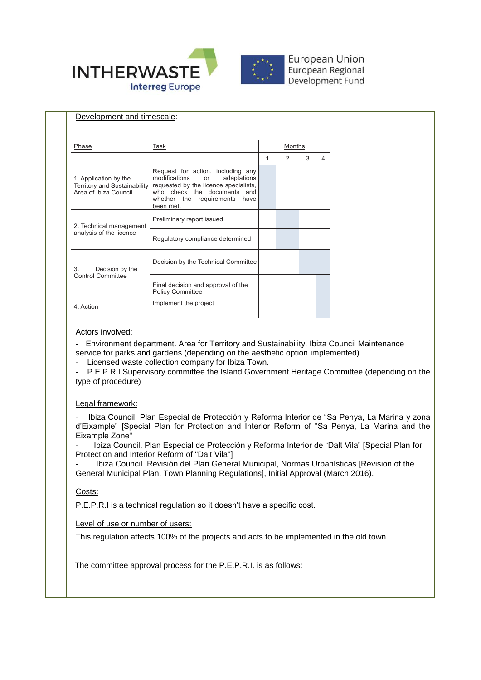

| Phase                                                                          | Task                                                                                                                                                                                                 | Months |   |   |   |
|--------------------------------------------------------------------------------|------------------------------------------------------------------------------------------------------------------------------------------------------------------------------------------------------|--------|---|---|---|
|                                                                                |                                                                                                                                                                                                      | 1      | 2 | 3 | 4 |
| 1. Application by the<br>Territory and Sustainability<br>Area of Ibiza Council | Request for action, including any<br>modifications<br>adaptations<br><b>or</b><br>requested by the licence specialists,<br>who check the documents and<br>whether the requirements have<br>been met. |        |   |   |   |
| 2. Technical management<br>analysis of the licence                             | Preliminary report issued                                                                                                                                                                            |        |   |   |   |
|                                                                                | Regulatory compliance determined                                                                                                                                                                     |        |   |   |   |
| Decision by the<br>3.<br><b>Control Committee</b>                              | Decision by the Technical Committee                                                                                                                                                                  |        |   |   |   |
|                                                                                | Final decision and approval of the<br><b>Policy Committee</b>                                                                                                                                        |        |   |   |   |
| 4. Action                                                                      | Implement the project                                                                                                                                                                                |        |   |   |   |

## Actors involved:

- Environment department. Area for Territory and Sustainability. Ibiza Council Maintenance service for parks and gardens (depending on the aesthetic option implemented).

Licensed waste collection company for Ibiza Town.

P.E.P.R.I Supervisory committee the Island Government Heritage Committee (depending on the type of procedure)

## Legal framework:

Ibiza Council. Plan Especial de Protección y Reforma Interior de "Sa Penya, La Marina y zona d'Eixample" [Special Plan for Protection and Interior Reform of "Sa Penya, La Marina and the Eixample Zone"

- Ibiza Council. Plan Especial de Protección y Reforma Interior de "Dalt Vila" [Special Plan for Protection and Interior Reform of "Dalt Vila"]

- Ibiza Council. Revisión del Plan General Municipal, Normas Urbanísticas [Revision of the General Municipal Plan, Town Planning Regulations], Initial Approval (March 2016).

## Costs:

P.E.P.R.I is a technical regulation so it doesn't have a specific cost.

Level of use or number of users:

This regulation affects 100% of the projects and acts to be implemented in the old town.

The committee approval process for the P.E.P.R.I. is as follows: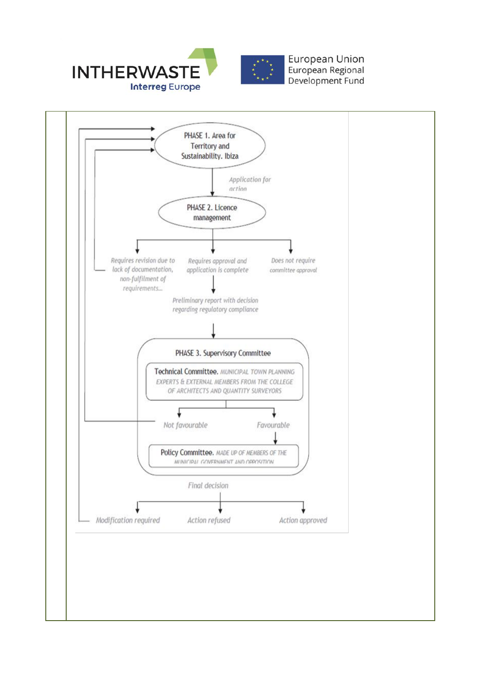